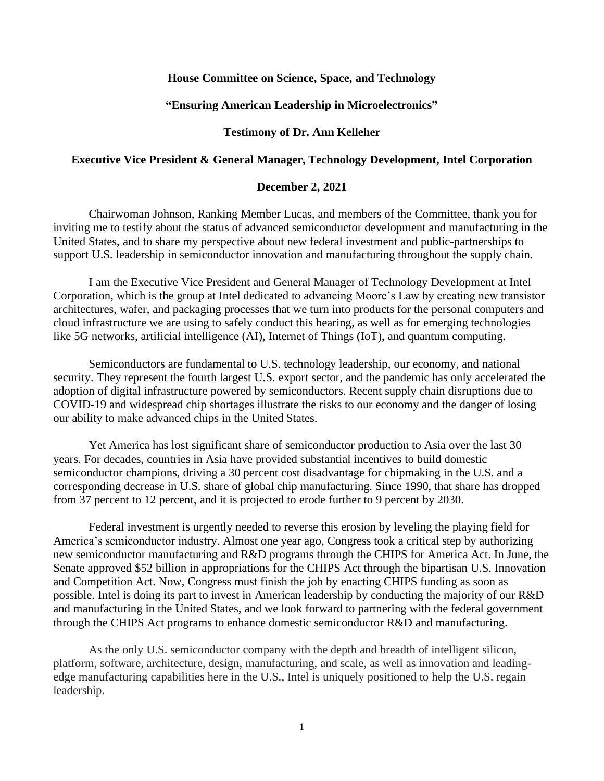## **House Committee on Science, Space, and Technology**

#### **"Ensuring American Leadership in Microelectronics"**

## **Testimony of Dr. Ann Kelleher**

## **Executive Vice President & General Manager, Technology Development, Intel Corporation**

#### **December 2, 2021**

Chairwoman Johnson, Ranking Member Lucas, and members of the Committee, thank you for inviting me to testify about the status of advanced semiconductor development and manufacturing in the United States, and to share my perspective about new federal investment and public-partnerships to support U.S. leadership in semiconductor innovation and manufacturing throughout the supply chain.

I am the Executive Vice President and General Manager of Technology Development at Intel Corporation, which is the group at Intel dedicated to advancing Moore's Law by creating new transistor architectures, wafer, and packaging processes that we turn into products for the personal computers and cloud infrastructure we are using to safely conduct this hearing, as well as for emerging technologies like 5G networks, artificial intelligence (AI), Internet of Things (IoT), and quantum computing.

Semiconductors are fundamental to U.S. technology leadership, our economy, and national security. They represent the fourth largest U.S. export sector, and the pandemic has only accelerated the adoption of digital infrastructure powered by semiconductors. Recent supply chain disruptions due to COVID-19 and widespread chip shortages illustrate the risks to our economy and the danger of losing our ability to make advanced chips in the United States.

Yet America has lost significant share of semiconductor production to Asia over the last 30 years. For decades, countries in Asia have provided substantial incentives to build domestic semiconductor champions, driving a 30 percent cost disadvantage for chipmaking in the U.S. and a corresponding decrease in U.S. share of global chip manufacturing. Since 1990, that share has dropped from 37 percent to 12 percent, and it is projected to erode further to 9 percent by 2030.

Federal investment is urgently needed to reverse this erosion by leveling the playing field for America's semiconductor industry. Almost one year ago, Congress took a critical step by authorizing new semiconductor manufacturing and R&D programs through the CHIPS for America Act. In June, the Senate approved \$52 billion in appropriations for the CHIPS Act through the bipartisan U.S. Innovation and Competition Act. Now, Congress must finish the job by enacting CHIPS funding as soon as possible. Intel is doing its part to invest in American leadership by conducting the majority of our R&D and manufacturing in the United States, and we look forward to partnering with the federal government through the CHIPS Act programs to enhance domestic semiconductor R&D and manufacturing.

As the only U.S. semiconductor company with the depth and breadth of intelligent silicon, platform, software, architecture, design, manufacturing, and scale, as well as innovation and leadingedge manufacturing capabilities here in the U.S., Intel is uniquely positioned to help the U.S. regain leadership.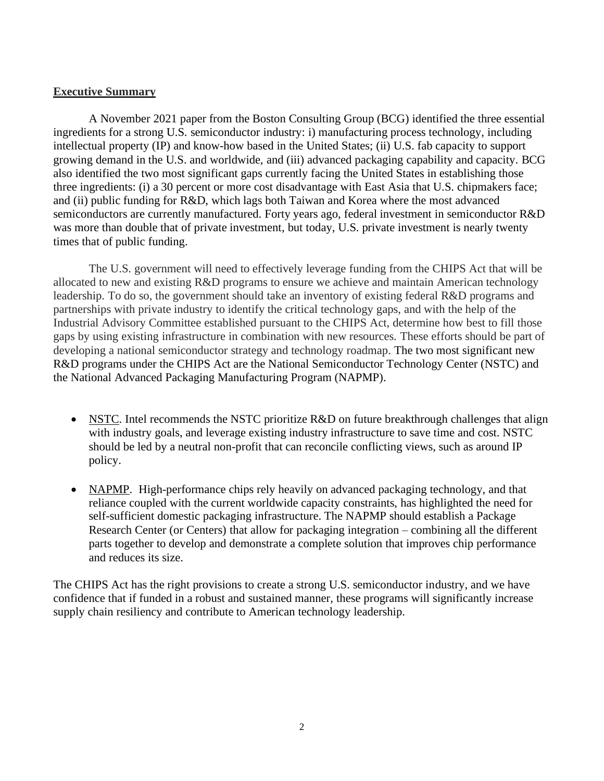# **Executive Summary**

A November 2021 paper from the Boston Consulting Group (BCG) identified the three essential ingredients for a strong U.S. semiconductor industry: i) manufacturing process technology, including intellectual property (IP) and know-how based in the United States; (ii) U.S. fab capacity to support growing demand in the U.S. and worldwide, and (iii) advanced packaging capability and capacity. BCG also identified the two most significant gaps currently facing the United States in establishing those three ingredients: (i) a 30 percent or more cost disadvantage with East Asia that U.S. chipmakers face; and (ii) public funding for R&D, which lags both Taiwan and Korea where the most advanced semiconductors are currently manufactured. Forty years ago, federal investment in semiconductor R&D was more than double that of private investment, but today, U.S. private investment is nearly twenty times that of public funding.

The U.S. government will need to effectively leverage funding from the CHIPS Act that will be allocated to new and existing R&D programs to ensure we achieve and maintain American technology leadership. To do so, the government should take an inventory of existing federal R&D programs and partnerships with private industry to identify the critical technology gaps, and with the help of the Industrial Advisory Committee established pursuant to the CHIPS Act, determine how best to fill those gaps by using existing infrastructure in combination with new resources. These efforts should be part of developing a national semiconductor strategy and technology roadmap. The two most significant new R&D programs under the CHIPS Act are the National Semiconductor Technology Center (NSTC) and the National Advanced Packaging Manufacturing Program (NAPMP).

- NSTC. Intel recommends the NSTC prioritize R&D on future breakthrough challenges that align with industry goals, and leverage existing industry infrastructure to save time and cost. NSTC should be led by a neutral non-profit that can reconcile conflicting views, such as around IP policy.
- NAPMP. High-performance chips rely heavily on advanced packaging technology, and that reliance coupled with the current worldwide capacity constraints, has highlighted the need for self-sufficient domestic packaging infrastructure. The NAPMP should establish a Package Research Center (or Centers) that allow for packaging integration – combining all the different parts together to develop and demonstrate a complete solution that improves chip performance and reduces its size.

The CHIPS Act has the right provisions to create a strong U.S. semiconductor industry, and we have confidence that if funded in a robust and sustained manner, these programs will significantly increase supply chain resiliency and contribute to American technology leadership.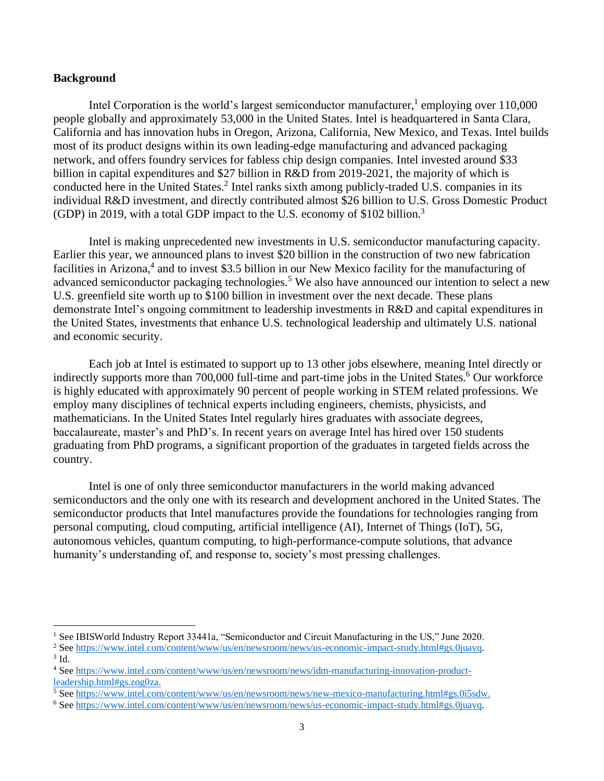## **Background**

Intel Corporation is the world's largest semiconductor manufacturer,<sup>1</sup> employing over 110,000 people globally and approximately 53,000 in the United States. Intel is headquartered in Santa Clara, California and has innovation hubs in Oregon, Arizona, California, New Mexico, and Texas. Intel builds most of its product designs within its own leading-edge manufacturing and advanced packaging network, and offers foundry services for fabless chip design companies. Intel invested around \$33 billion in capital expenditures and \$27 billion in R&D from 2019-2021, the majority of which is conducted here in the United States.<sup>2</sup> Intel ranks sixth among publicly-traded U.S. companies in its individual R&D investment, and directly contributed almost \$26 billion to U.S. Gross Domestic Product (GDP) in 2019, with a total GDP impact to the U.S. economy of \$102 billion.<sup>3</sup>

Intel is making unprecedented new investments in U.S. semiconductor manufacturing capacity. Earlier this year, we announced plans to invest \$20 billion in the construction of two new fabrication facilities in Arizona,<sup>4</sup> and to invest \$3.5 billion in our New Mexico facility for the manufacturing of advanced semiconductor packaging technologies.<sup>5</sup> We also have announced our intention to select a new U.S. greenfield site worth up to \$100 billion in investment over the next decade. These plans demonstrate Intel's ongoing commitment to leadership investments in R&D and capital expenditures in the United States, investments that enhance U.S. technological leadership and ultimately U.S. national and economic security.

Each job at Intel is estimated to support up to 13 other jobs elsewhere, meaning Intel directly or indirectly supports more than 700,000 full-time and part-time jobs in the United States.<sup>6</sup> Our workforce is highly educated with approximately 90 percent of people working in STEM related professions. We employ many disciplines of technical experts including engineers, chemists, physicists, and mathematicians. In the United States Intel regularly hires graduates with associate degrees, baccalaureate, master's and PhD's. In recent years on average Intel has hired over 150 students graduating from PhD programs, a significant proportion of the graduates in targeted fields across the country.

Intel is one of only three semiconductor manufacturers in the world making advanced semiconductors and the only one with its research and development anchored in the United States. The semiconductor products that Intel manufactures provide the foundations for technologies ranging from personal computing, cloud computing, artificial intelligence (AI), Internet of Things (IoT), 5G, autonomous vehicles, quantum computing, to high-performance-compute solutions, that advance humanity's understanding of, and response to, society's most pressing challenges.

<sup>&</sup>lt;sup>1</sup> See IBISWorld Industry Report 33441a, "Semiconductor and Circuit Manufacturing in the US," June 2020.

<sup>&</sup>lt;sup>2</sup> Se[e https://www.intel.com/content/www/us/en/newsroom/news/us-economic-impact-study.html#gs.0juavq.](https://www.intel.com/content/www/us/en/newsroom/news/us-economic-impact-study.html#gs.0juavq)  $3$  Id.

<sup>4</sup> Se[e https://www.intel.com/content/www/us/en/newsroom/news/idm-manufacturing-innovation-product](https://www.intel.com/content/www/us/en/newsroom/news/idm-manufacturing-innovation-product-leadership.html#gs.zog0za)[leadership.html#gs.zog0za.](https://www.intel.com/content/www/us/en/newsroom/news/idm-manufacturing-innovation-product-leadership.html#gs.zog0za)

<sup>5</sup> Se[e https://www.intel.com/content/www/us/en/newsroom/news/new-mexico-manufacturing.html#gs.0i5sdw.](https://www.intel.com/content/www/us/en/newsroom/news/new-mexico-manufacturing.html#gs.0i5sdw)

<sup>6</sup> Se[e https://www.intel.com/content/www/us/en/newsroom/news/us-economic-impact-study.html#gs.0juavq.](https://www.intel.com/content/www/us/en/newsroom/news/us-economic-impact-study.html#gs.0juavq)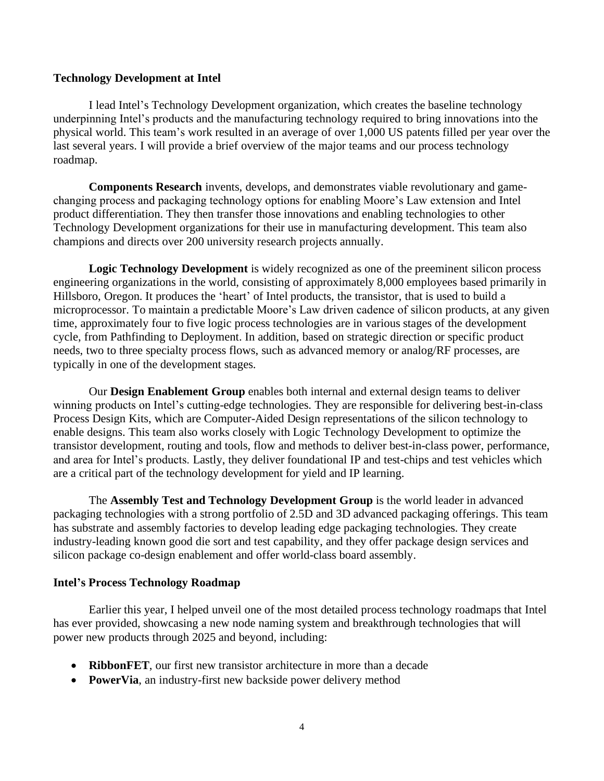## **Technology Development at Intel**

I lead Intel's Technology Development organization, which creates the baseline technology underpinning Intel's products and the manufacturing technology required to bring innovations into the physical world. This team's work resulted in an average of over 1,000 US patents filled per year over the last several years. I will provide a brief overview of the major teams and our process technology roadmap.

**Components Research** invents, develops, and demonstrates viable revolutionary and gamechanging process and packaging technology options for enabling Moore's Law extension and Intel product differentiation. They then transfer those innovations and enabling technologies to other Technology Development organizations for their use in manufacturing development. This team also champions and directs over 200 university research projects annually.

**Logic Technology Development** is widely recognized as one of the preeminent silicon process engineering organizations in the world, consisting of approximately 8,000 employees based primarily in Hillsboro, Oregon. It produces the 'heart' of Intel products, the transistor, that is used to build a microprocessor. To maintain a predictable Moore's Law driven cadence of silicon products, at any given time, approximately four to five logic process technologies are in various stages of the development cycle, from Pathfinding to Deployment. In addition, based on strategic direction or specific product needs, two to three specialty process flows, such as advanced memory or analog/RF processes, are typically in one of the development stages.

Our **Design Enablement Group** enables both internal and external design teams to deliver winning products on Intel's cutting-edge technologies. They are responsible for delivering best-in-class Process Design Kits, which are Computer-Aided Design representations of the silicon technology to enable designs. This team also works closely with Logic Technology Development to optimize the transistor development, routing and tools, flow and methods to deliver best-in-class power, performance, and area for Intel's products. Lastly, they deliver foundational IP and test-chips and test vehicles which are a critical part of the technology development for yield and IP learning.

The **Assembly Test and Technology Development Group** is the world leader in advanced packaging technologies with a strong portfolio of 2.5D and 3D advanced packaging offerings. This team has substrate and assembly factories to develop leading edge packaging technologies. They create industry-leading known good die sort and test capability, and they offer package design services and silicon package co-design enablement and offer world-class board assembly.

# **Intel's Process Technology Roadmap**

Earlier this year, I helped unveil one of the most detailed process technology roadmaps that Intel has ever provided, showcasing a new node naming system and breakthrough technologies that will power new products through 2025 and beyond, including:

- **RibbonFET**, our first new transistor architecture in more than a decade
- **PowerVia**, an industry-first new backside power delivery method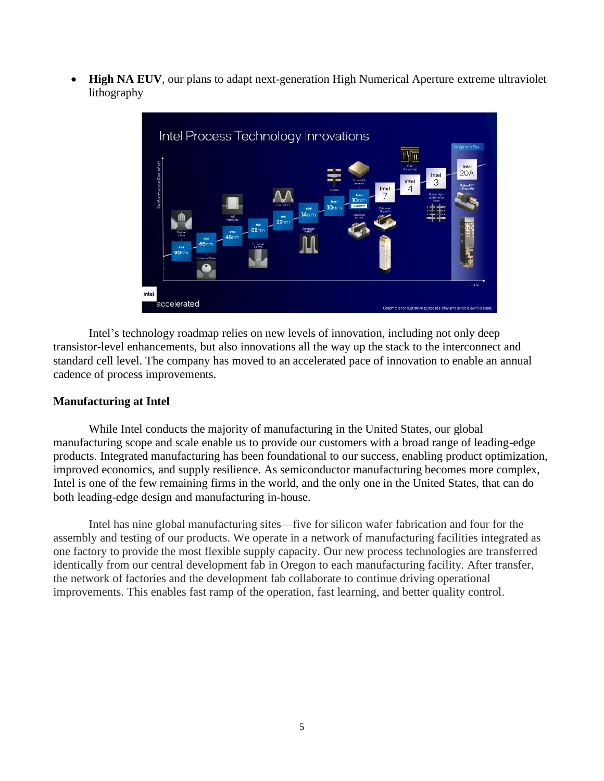• **High NA EUV**, our plans to adapt next-generation High Numerical Aperture extreme ultraviolet lithography



Intel's technology roadmap relies on new levels of innovation, including not only deep transistor-level enhancements, but also innovations all the way up the stack to the interconnect and standard cell level. The company has moved to an accelerated pace of innovation to enable an annual cadence of process improvements.

# **Manufacturing at Intel**

While Intel conducts the majority of manufacturing in the United States, our global manufacturing scope and scale enable us to provide our customers with a broad range of leading-edge products. Integrated manufacturing has been foundational to our success, enabling product optimization, improved economics, and supply resilience. As semiconductor manufacturing becomes more complex, Intel is one of the few remaining firms in the world, and the only one in the United States, that can do both leading-edge design and manufacturing in-house.

Intel has nine global manufacturing sites—five for silicon wafer fabrication and four for the assembly and testing of our products. We operate in a network of manufacturing facilities integrated as one factory to provide the most flexible supply capacity. Our new process technologies are transferred identically from our central development fab in Oregon to each manufacturing facility. After transfer, the network of factories and the development fab collaborate to continue driving operational improvements. This enables fast ramp of the operation, fast learning, and better quality control.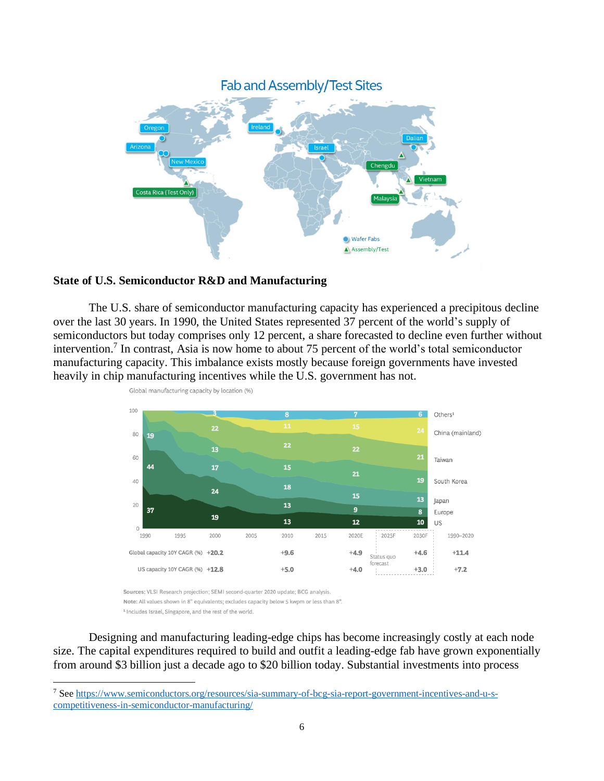

## **State of U.S. Semiconductor R&D and Manufacturing**

The U.S. share of semiconductor manufacturing capacity has experienced a precipitous decline over the last 30 years. In 1990, the United States represented 37 percent of the world's supply of semiconductors but today comprises only 12 percent, a share forecasted to decline even further without intervention.<sup>7</sup> In contrast, Asia is now home to about 75 percent of the world's total semiconductor manufacturing capacity. This imbalance exists mostly because foreign governments have invested heavily in chip manufacturing incentives while the U.S. government has not.



Global manufacturing capacity by location (%)

Sources: VLSI Research projection; SEMI second-quarter 2020 update; BCG analysis. Note: All values shown in 8" equivalents; excludes capacity below 5 kwpm or less than 8". <sup>1</sup> Includes Israel, Singapore, and the rest of the world.

Designing and manufacturing leading-edge chips has become increasingly costly at each node size. The capital expenditures required to build and outfit a leading-edge fab have grown exponentially from around \$3 billion just a decade ago to \$20 billion today. Substantial investments into process

<sup>7</sup> Se[e https://www.semiconductors.org/resources/sia-summary-of-bcg-sia-report-government-incentives-and-u-s](https://www.semiconductors.org/resources/sia-summary-of-bcg-sia-report-government-incentives-and-u-s-competitiveness-in-semiconductor-manufacturing/)[competitiveness-in-semiconductor-manufacturing/](https://www.semiconductors.org/resources/sia-summary-of-bcg-sia-report-government-incentives-and-u-s-competitiveness-in-semiconductor-manufacturing/)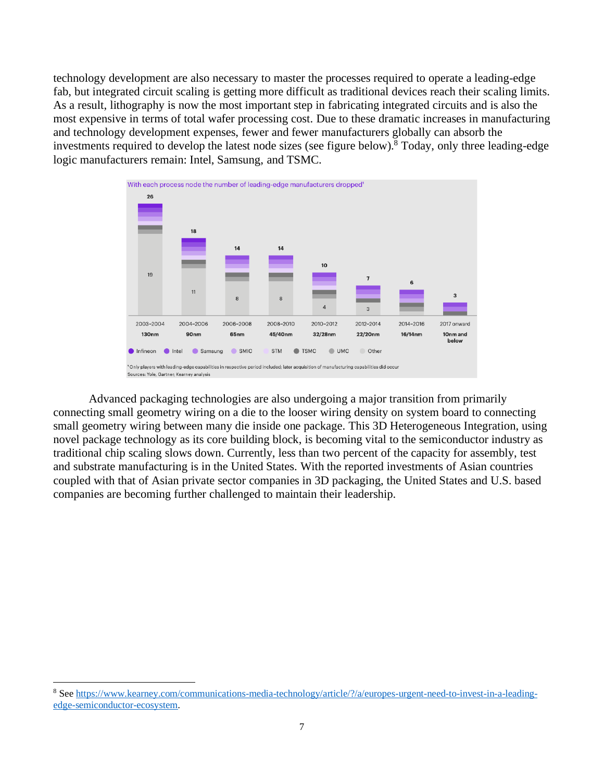technology development are also necessary to master the processes required to operate a leading-edge fab, but integrated circuit scaling is getting more difficult as traditional devices reach their scaling limits. As a result, lithography is now the most important step in fabricating integrated circuits and is also the most expensive in terms of total wafer processing cost. Due to these dramatic increases in manufacturing and technology development expenses, fewer and fewer manufacturers globally can absorb the investments required to develop the latest node sizes (see figure below).<sup>8</sup> Today, only three leading-edge logic manufacturers remain: Intel, Samsung, and TSMC.



Advanced packaging technologies are also undergoing a major transition from primarily connecting small geometry wiring on a die to the looser wiring density on system board to connecting small geometry wiring between many die inside one package. This 3D Heterogeneous Integration, using novel package technology as its core building block, is becoming vital to the semiconductor industry as traditional chip scaling slows down. Currently, less than two percent of the capacity for assembly, test and substrate manufacturing is in the United States. With the reported investments of Asian countries coupled with that of Asian private sector companies in 3D packaging, the United States and U.S. based companies are becoming further challenged to maintain their leadership.

<sup>8</sup> Se[e https://www.kearney.com/communications-media-technology/article/?/a/europes-urgent-need-to-invest-in-a-leading](https://www.kearney.com/communications-media-technology/article/?/a/europes-urgent-need-to-invest-in-a-leading-edge-semiconductor-ecosystem)[edge-semiconductor-ecosystem.](https://www.kearney.com/communications-media-technology/article/?/a/europes-urgent-need-to-invest-in-a-leading-edge-semiconductor-ecosystem)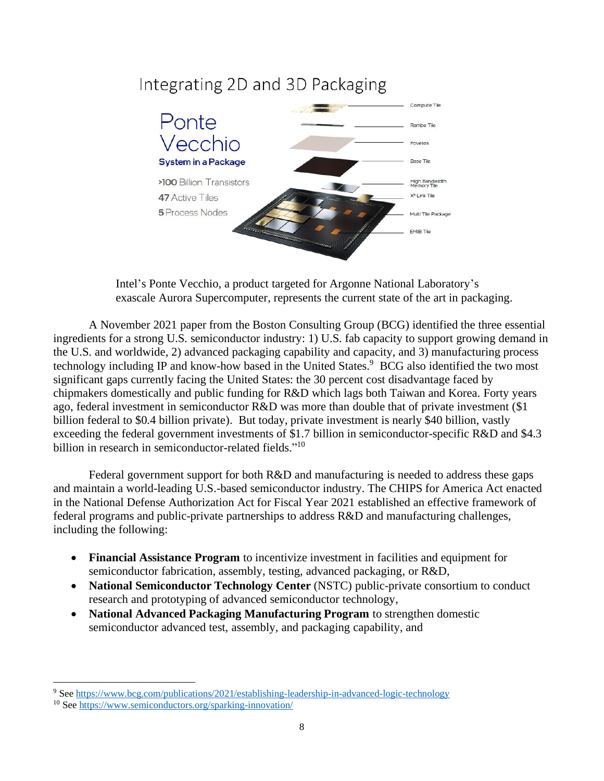# Integrating 2D and 3D Packaging



Intel's Ponte Vecchio, a product targeted for Argonne National Laboratory's exascale Aurora Supercomputer, represents the current state of the art in packaging.

A November 2021 paper from the Boston Consulting Group (BCG) identified the three essential ingredients for a strong U.S. semiconductor industry: 1) U.S. fab capacity to support growing demand in the U.S. and worldwide, 2) advanced packaging capability and capacity, and 3) manufacturing process technology including IP and know-how based in the United States.<sup>9</sup> BCG also identified the two most significant gaps currently facing the United States: the 30 percent cost disadvantage faced by chipmakers domestically and public funding for R&D which lags both Taiwan and Korea. Forty years ago, federal investment in semiconductor R&D was more than double that of private investment (\$1 billion federal to \$0.4 billion private). But today, private investment is nearly \$40 billion, vastly exceeding the federal government investments of \$1.7 billion in semiconductor-specific R&D and \$4.3 billion in research in semiconductor-related fields."<sup>10</sup>

Federal government support for both R&D and manufacturing is needed to address these gaps and maintain a world-leading U.S.-based semiconductor industry. The CHIPS for America Act enacted in the National Defense Authorization Act for Fiscal Year 2021 established an effective framework of federal programs and public-private partnerships to address R&D and manufacturing challenges, including the following:

- **Financial Assistance Program** to incentivize investment in facilities and equipment for semiconductor fabrication, assembly, testing, advanced packaging, or R&D,
- **National Semiconductor Technology Center** (NSTC) public-private consortium to conduct research and prototyping of advanced semiconductor technology,
- **National Advanced Packaging Manufacturing Program** to strengthen domestic semiconductor advanced test, assembly, and packaging capability, and

<sup>&</sup>lt;sup>9</sup> Se[e https://www.bcg.com/publications/2021/establishing-leadership-in-advanced-logic-technology](https://www.bcg.com/publications/2021/establishing-leadership-in-advanced-logic-technology)

<sup>10</sup> See<https://www.semiconductors.org/sparking-innovation/>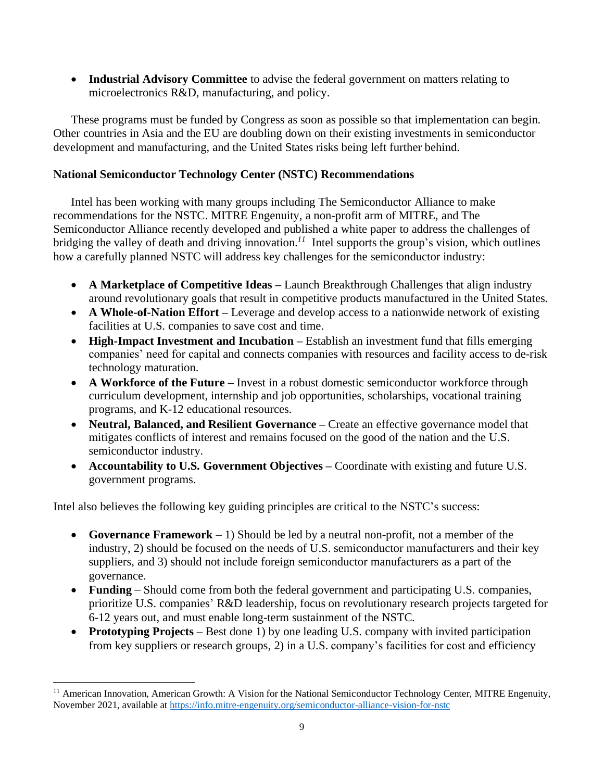• **Industrial Advisory Committee** to advise the federal government on matters relating to microelectronics R&D, manufacturing, and policy.

These programs must be funded by Congress as soon as possible so that implementation can begin. Other countries in Asia and the EU are doubling down on their existing investments in semiconductor development and manufacturing, and the United States risks being left further behind.

# **National Semiconductor Technology Center (NSTC) Recommendations**

Intel has been working with many groups including The Semiconductor Alliance to make recommendations for the NSTC. MITRE Engenuity, a non-profit arm of MITRE, and The Semiconductor Alliance recently developed and published a white paper to address the challenges of bridging the valley of death and driving innovation.<sup>11</sup> Intel supports the group's vision, which outlines how a carefully planned NSTC will address key challenges for the semiconductor industry:

- **A Marketplace of Competitive Ideas –** Launch Breakthrough Challenges that align industry around revolutionary goals that result in competitive products manufactured in the United States.
- **A Whole-of-Nation Effort** Leverage and develop access to a nationwide network of existing facilities at U.S. companies to save cost and time.
- **High-Impact Investment and Incubation** Establish an investment fund that fills emerging companies' need for capital and connects companies with resources and facility access to de-risk technology maturation.
- **A Workforce of the Future** Invest in a robust domestic semiconductor workforce through curriculum development, internship and job opportunities, scholarships, vocational training programs, and K-12 educational resources.
- **Neutral, Balanced, and Resilient Governance** Create an effective governance model that mitigates conflicts of interest and remains focused on the good of the nation and the U.S. semiconductor industry.
- **Accountability to U.S. Government Objectives Coordinate with existing and future U.S.** government programs.

Intel also believes the following key guiding principles are critical to the NSTC's success:

- **Governance Framework** 1) Should be led by a neutral non-profit, not a member of the industry, 2) should be focused on the needs of U.S. semiconductor manufacturers and their key suppliers, and 3) should not include foreign semiconductor manufacturers as a part of the governance.
- **Funding** Should come from both the federal government and participating U.S. companies, prioritize U.S. companies' R&D leadership, focus on revolutionary research projects targeted for 6-12 years out, and must enable long-term sustainment of the NSTC.
- **Prototyping Projects** Best done 1) by one leading U.S. company with invited participation from key suppliers or research groups, 2) in a U.S. company's facilities for cost and efficiency

<sup>&</sup>lt;sup>11</sup> American Innovation, American Growth: A Vision for the National Semiconductor Technology Center, MITRE Engenuity, November 2021, available at <https://info.mitre-engenuity.org/semiconductor-alliance-vision-for-nstc>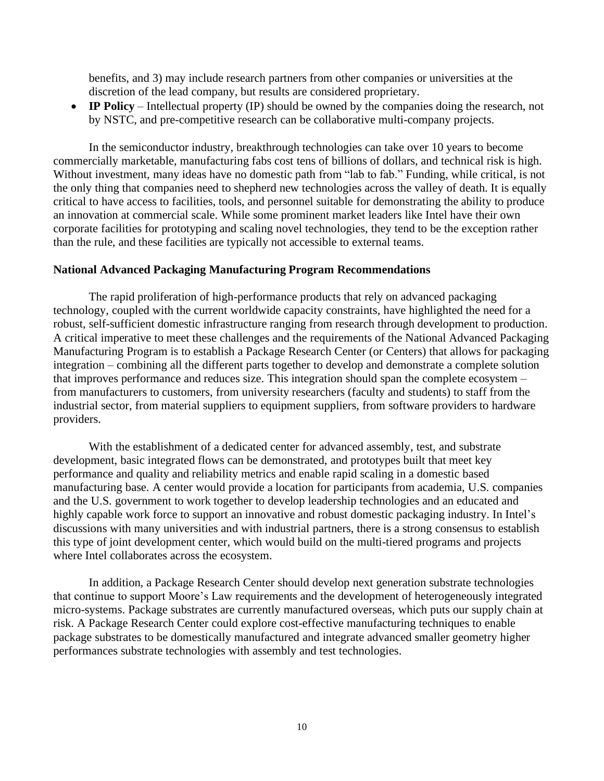benefits, and 3) may include research partners from other companies or universities at the discretion of the lead company, but results are considered proprietary.

• **IP Policy** – Intellectual property (IP) should be owned by the companies doing the research, not by NSTC, and pre-competitive research can be collaborative multi-company projects.

In the semiconductor industry, breakthrough technologies can take over 10 years to become commercially marketable, manufacturing fabs cost tens of billions of dollars, and technical risk is high. Without investment, many ideas have no domestic path from "lab to fab." Funding, while critical, is not the only thing that companies need to shepherd new technologies across the valley of death. It is equally critical to have access to facilities, tools, and personnel suitable for demonstrating the ability to produce an innovation at commercial scale. While some prominent market leaders like Intel have their own corporate facilities for prototyping and scaling novel technologies, they tend to be the exception rather than the rule, and these facilities are typically not accessible to external teams.

#### **National Advanced Packaging Manufacturing Program Recommendations**

The rapid proliferation of high-performance products that rely on advanced packaging technology, coupled with the current worldwide capacity constraints, have highlighted the need for a robust, self-sufficient domestic infrastructure ranging from research through development to production. A critical imperative to meet these challenges and the requirements of the National Advanced Packaging Manufacturing Program is to establish a Package Research Center (or Centers) that allows for packaging integration – combining all the different parts together to develop and demonstrate a complete solution that improves performance and reduces size. This integration should span the complete ecosystem – from manufacturers to customers, from university researchers (faculty and students) to staff from the industrial sector, from material suppliers to equipment suppliers, from software providers to hardware providers.

With the establishment of a dedicated center for advanced assembly, test, and substrate development, basic integrated flows can be demonstrated, and prototypes built that meet key performance and quality and reliability metrics and enable rapid scaling in a domestic based manufacturing base. A center would provide a location for participants from academia, U.S. companies and the U.S. government to work together to develop leadership technologies and an educated and highly capable work force to support an innovative and robust domestic packaging industry. In Intel's discussions with many universities and with industrial partners, there is a strong consensus to establish this type of joint development center, which would build on the multi-tiered programs and projects where Intel collaborates across the ecosystem.

In addition, a Package Research Center should develop next generation substrate technologies that continue to support Moore's Law requirements and the development of heterogeneously integrated micro-systems. Package substrates are currently manufactured overseas, which puts our supply chain at risk. A Package Research Center could explore cost-effective manufacturing techniques to enable package substrates to be domestically manufactured and integrate advanced smaller geometry higher performances substrate technologies with assembly and test technologies.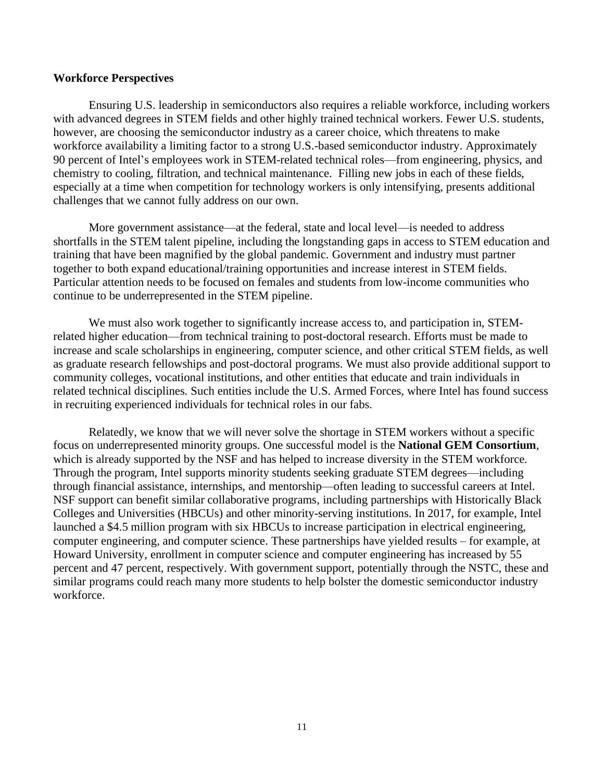#### **Workforce Perspectives**

Ensuring U.S. leadership in semiconductors also requires a reliable workforce, including workers with advanced degrees in STEM fields and other highly trained technical workers. Fewer U.S. students, however, are choosing the semiconductor industry as a career choice, which threatens to make workforce availability a limiting factor to a strong U.S.-based semiconductor industry. Approximately 90 percent of Intel's employees work in STEM-related technical roles—from engineering, physics, and chemistry to cooling, filtration, and technical maintenance. Filling new jobs in each of these fields, especially at a time when competition for technology workers is only intensifying, presents additional challenges that we cannot fully address on our own.

More government assistance—at the federal, state and local level—is needed to address shortfalls in the STEM talent pipeline, including the longstanding gaps in access to STEM education and training that have been magnified by the global pandemic. Government and industry must partner together to both expand educational/training opportunities and increase interest in STEM fields. Particular attention needs to be focused on females and students from low-income communities who continue to be underrepresented in the STEM pipeline.

We must also work together to significantly increase access to, and participation in, STEMrelated higher education—from technical training to post-doctoral research. Efforts must be made to increase and scale scholarships in engineering, computer science, and other critical STEM fields, as well as graduate research fellowships and post-doctoral programs. We must also provide additional support to community colleges, vocational institutions, and other entities that educate and train individuals in related technical disciplines. Such entities include the U.S. Armed Forces, where Intel has found success in recruiting experienced individuals for technical roles in our fabs.

Relatedly, we know that we will never solve the shortage in STEM workers without a specific focus on underrepresented minority groups. One successful model is the **National GEM Consortium**, which is already supported by the NSF and has helped to increase diversity in the STEM workforce. Through the program, Intel supports minority students seeking graduate STEM degrees—including through financial assistance, internships, and mentorship—often leading to successful careers at Intel. NSF support can benefit similar collaborative programs, including partnerships with Historically Black Colleges and Universities (HBCUs) and other minority-serving institutions. In 2017, for example, Intel launched a \$4.5 million program with six HBCUs to increase participation in electrical engineering, computer engineering, and computer science. These partnerships have yielded results – for example, at Howard University, enrollment in computer science and computer engineering has increased by 55 percent and 47 percent, respectively. With government support, potentially through the NSTC, these and similar programs could reach many more students to help bolster the domestic semiconductor industry workforce.